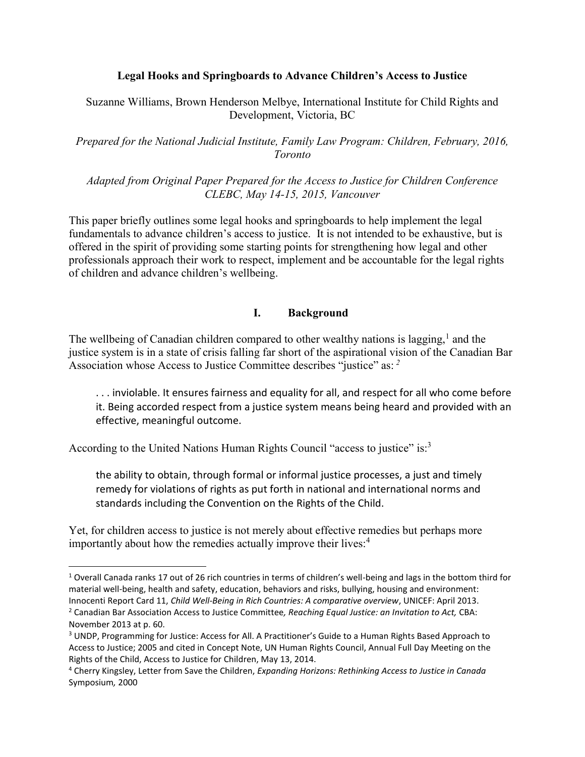#### **Legal Hooks and Springboards to Advance Children's Access to Justice**

### Suzanne Williams, Brown Henderson Melbye, International Institute for Child Rights and Development, Victoria, BC

*Prepared for the National Judicial Institute, Family Law Program: Children, February, 2016, Toronto* 

*Adapted from Original Paper Prepared for the Access to Justice for Children Conference CLEBC, May 14-15, 2015, Vancouver* 

This paper briefly outlines some legal hooks and springboards to help implement the legal fundamentals to advance children's access to justice. It is not intended to be exhaustive, but is offered in the spirit of providing some starting points for strengthening how legal and other professionals approach their work to respect, implement and be accountable for the legal rights of children and advance children's wellbeing.

### **I. Background**

The wellbeing of Canadian children compared to other wealthy nations is lagging, $<sup>1</sup>$  and the</sup> justice system is in a state of crisis falling far short of the aspirational vision of the Canadian Bar Association whose Access to Justice Committee describes "justice" as: *<sup>2</sup>*

. . . inviolable. It ensures fairness and equality for all, and respect for all who come before it. Being accorded respect from a justice system means being heard and provided with an effective, meaningful outcome.

According to the United Nations Human Rights Council "access to justice" is:<sup>3</sup>

 $\overline{\phantom{a}}$ 

the ability to obtain, through formal or informal justice processes, a just and timely remedy for violations of rights as put forth in national and international norms and standards including the Convention on the Rights of the Child.

Yet, for children access to justice is not merely about effective remedies but perhaps more importantly about how the remedies actually improve their lives:<sup>4</sup>

<sup>1</sup> Overall Canada ranks 17 out of 26 rich countries in terms of children's well-being and lags in the bottom third for material well-being, health and safety, education, behaviors and risks, bullying, housing and environment:

Innocenti Report Card 11, *Child Well-Being in Rich Countries: A comparative overview*, UNICEF: April 2013. 2 Canadian Bar Association Access to Justice Committee*, Reaching Equal Justice: an Invitation to Act,* CBA: November 2013 at p. 60.

<sup>&</sup>lt;sup>3</sup> UNDP, Programming for Justice: Access for All. A Practitioner's Guide to a Human Rights Based Approach to Access to Justice; 2005 and cited in Concept Note, UN Human Rights Council, Annual Full Day Meeting on the Rights of the Child, Access to Justice for Children, May 13, 2014.

<sup>4</sup> Cherry Kingsley, Letter from Save the Children, *Expanding Horizons: Rethinking Access to Justice in Canada*  Symposium*,* 2000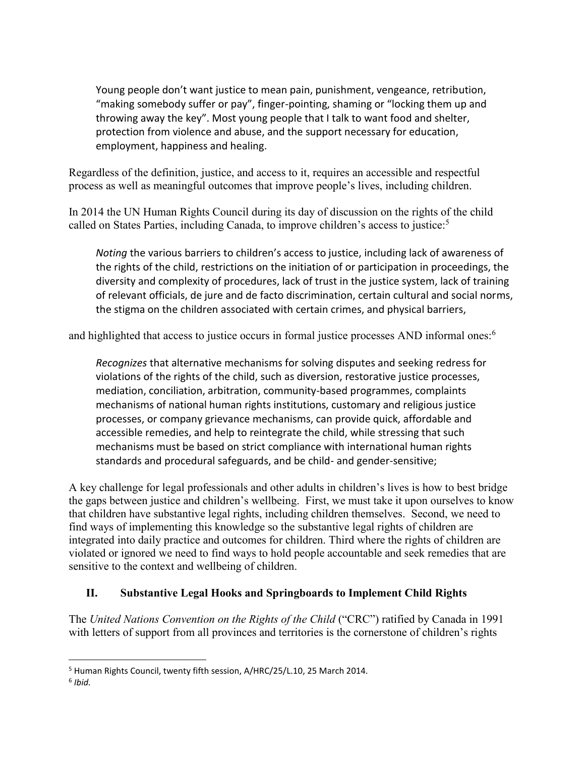Young people don't want justice to mean pain, punishment, vengeance, retribution, "making somebody suffer or pay", finger-pointing, shaming or "locking them up and throwing away the key". Most young people that I talk to want food and shelter, protection from violence and abuse, and the support necessary for education, employment, happiness and healing.

Regardless of the definition, justice, and access to it, requires an accessible and respectful process as well as meaningful outcomes that improve people's lives, including children.

In 2014 the UN Human Rights Council during its day of discussion on the rights of the child called on States Parties, including Canada, to improve children's access to justice:<sup>5</sup>

*Noting* the various barriers to children's access to justice, including lack of awareness of the rights of the child, restrictions on the initiation of or participation in proceedings, the diversity and complexity of procedures, lack of trust in the justice system, lack of training of relevant officials, de jure and de facto discrimination, certain cultural and social norms, the stigma on the children associated with certain crimes, and physical barriers,

and highlighted that access to justice occurs in formal justice processes AND informal ones:<sup>6</sup>

*Recognizes* that alternative mechanisms for solving disputes and seeking redress for violations of the rights of the child, such as diversion, restorative justice processes, mediation, conciliation, arbitration, community-based programmes, complaints mechanisms of national human rights institutions, customary and religious justice processes, or company grievance mechanisms, can provide quick, affordable and accessible remedies, and help to reintegrate the child, while stressing that such mechanisms must be based on strict compliance with international human rights standards and procedural safeguards, and be child- and gender-sensitive;

A key challenge for legal professionals and other adults in children's lives is how to best bridge the gaps between justice and children's wellbeing. First, we must take it upon ourselves to know that children have substantive legal rights, including children themselves. Second, we need to find ways of implementing this knowledge so the substantive legal rights of children are integrated into daily practice and outcomes for children. Third where the rights of children are violated or ignored we need to find ways to hold people accountable and seek remedies that are sensitive to the context and wellbeing of children.

## **II. Substantive Legal Hooks and Springboards to Implement Child Rights**

The *United Nations Convention on the Rights of the Child* ("CRC") ratified by Canada in 1991 with letters of support from all provinces and territories is the cornerstone of children's rights

l <sup>5</sup> Human Rights Council, twenty fifth session, A/HRC/25/L.10, 25 March 2014.

<sup>6</sup> *Ibid.*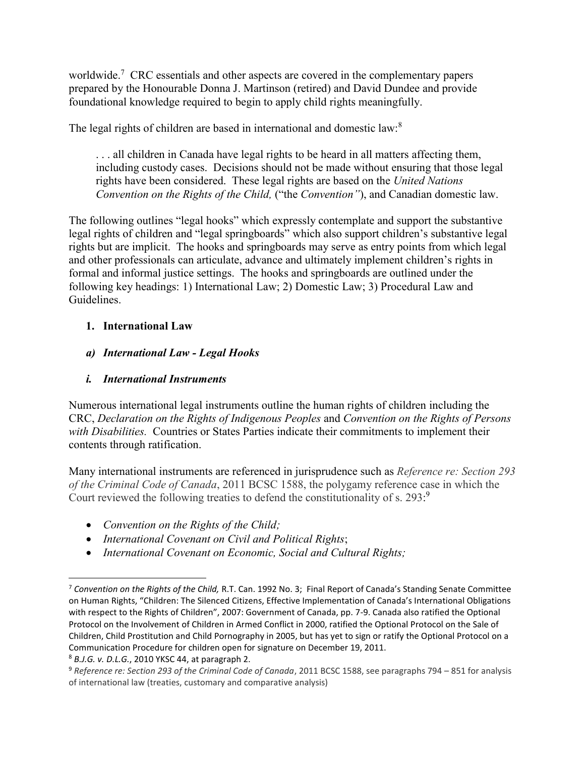worldwide.<sup>7</sup> CRC essentials and other aspects are covered in the complementary papers prepared by the Honourable Donna J. Martinson (retired) and David Dundee and provide foundational knowledge required to begin to apply child rights meaningfully.

The legal rights of children are based in international and domestic law:<sup>8</sup>

. . . all children in Canada have legal rights to be heard in all matters affecting them, including custody cases. Decisions should not be made without ensuring that those legal rights have been considered. These legal rights are based on the *United Nations Convention on the Rights of the Child,* ("the *Convention"*), and Canadian domestic law.

The following outlines "legal hooks" which expressly contemplate and support the substantive legal rights of children and "legal springboards" which also support children's substantive legal rights but are implicit. The hooks and springboards may serve as entry points from which legal and other professionals can articulate, advance and ultimately implement children's rights in formal and informal justice settings. The hooks and springboards are outlined under the following key headings: 1) International Law; 2) Domestic Law; 3) Procedural Law and Guidelines.

## **1. International Law**

*a) International Law - Legal Hooks* 

## *i. International Instruments*

Numerous international legal instruments outline the human rights of children including the CRC, *Declaration on the Rights of Indigenous Peoples* and *Convention on the Rights of Persons with Disabilities.* Countries or States Parties indicate their commitments to implement their contents through ratification.

Many international instruments are referenced in jurisprudence such as *Reference re: Section 293 of the Criminal Code of Canada*, 2011 BCSC 1588, the polygamy reference case in which the Court reviewed the following treaties to defend the constitutionality of s. 293:9

- *Convention on the Rights of the Child;*
- *International Covenant on Civil and Political Rights*;
- *International Covenant on Economic, Social and Cultural Rights;*

 $\overline{\phantom{a}}$ 

<sup>7</sup> *Convention on the Rights of the Child,* R.T. Can. 1992 No. 3; Final Report of Canada's Standing Senate Committee on Human Rights, "Children: The Silenced Citizens, Effective Implementation of Canada's International Obligations with respect to the Rights of Children", 2007: Government of Canada, pp. 7-9. Canada also ratified the Optional Protocol on the Involvement of Children in Armed Conflict in 2000, ratified the Optional Protocol on the Sale of Children, Child Prostitution and Child Pornography in 2005, but has yet to sign or ratify the Optional Protocol on a Communication Procedure for children open for signature on December 19, 2011.

<sup>8</sup> *B.J.G. v. D.L.G.*, 2010 YKSC 44, at paragraph 2.

<sup>9</sup> *Reference re: Section 293 of the Criminal Code of Canada*, 2011 BCSC 1588, see paragraphs 794 – 851 for analysis of international law (treaties, customary and comparative analysis)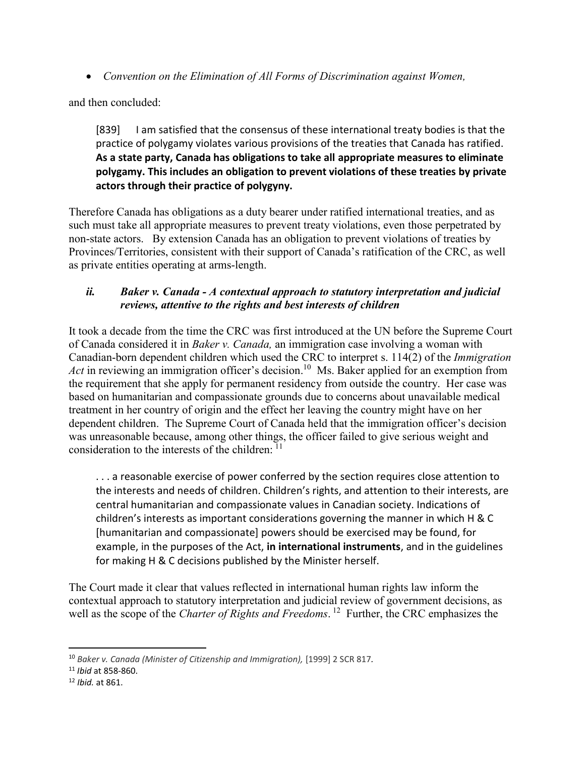*Convention on the Elimination of All Forms of Discrimination against Women,*

and then concluded:

[839] I am satisfied that the consensus of these international treaty bodies is that the practice of polygamy violates various provisions of the treaties that Canada has ratified. **As a state party, Canada has obligations to take all appropriate measures to eliminate polygamy. This includes an obligation to prevent violations of these treaties by private actors through their practice of polygyny.**

Therefore Canada has obligations as a duty bearer under ratified international treaties, and as such must take all appropriate measures to prevent treaty violations, even those perpetrated by non-state actors. By extension Canada has an obligation to prevent violations of treaties by Provinces/Territories, consistent with their support of Canada's ratification of the CRC, as well as private entities operating at arms-length.

### *ii. Baker v. Canada - A contextual approach to statutory interpretation and judicial reviews, attentive to the rights and best interests of children*

It took a decade from the time the CRC was first introduced at the UN before the Supreme Court of Canada considered it in *Baker v. Canada,* an immigration case involving a woman with Canadian-born dependent children which used the CRC to interpret s. 114(2) of the *Immigration*  Act in reviewing an immigration officer's decision.<sup>10</sup> Ms. Baker applied for an exemption from the requirement that she apply for permanent residency from outside the country. Her case was based on humanitarian and compassionate grounds due to concerns about unavailable medical treatment in her country of origin and the effect her leaving the country might have on her dependent children. The Supreme Court of Canada held that the immigration officer's decision was unreasonable because, among other things, the officer failed to give serious weight and consideration to the interests of the children:  $11$ 

. . . a reasonable exercise of power conferred by the section requires close attention to the interests and needs of children. Children's rights, and attention to their interests, are central humanitarian and compassionate values in Canadian society. Indications of children's interests as important considerations governing the manner in which H & C [humanitarian and compassionate] powers should be exercised may be found, for example, in the purposes of the Act, **in international instruments**, and in the guidelines for making H & C decisions published by the Minister herself.

The Court made it clear that values reflected in international human rights law inform the contextual approach to statutory interpretation and judicial review of government decisions, as well as the scope of the *Charter of Rights and Freedoms*. 12 Further, the CRC emphasizes the

 $\overline{\phantom{a}}$ 

<sup>10</sup> *Baker v. Canada (Minister of Citizenship and Immigration),* [1999] 2 SCR 817*.* 

<sup>11</sup> *Ibid* at 858-860.

<sup>12</sup> *Ibid.* at 861.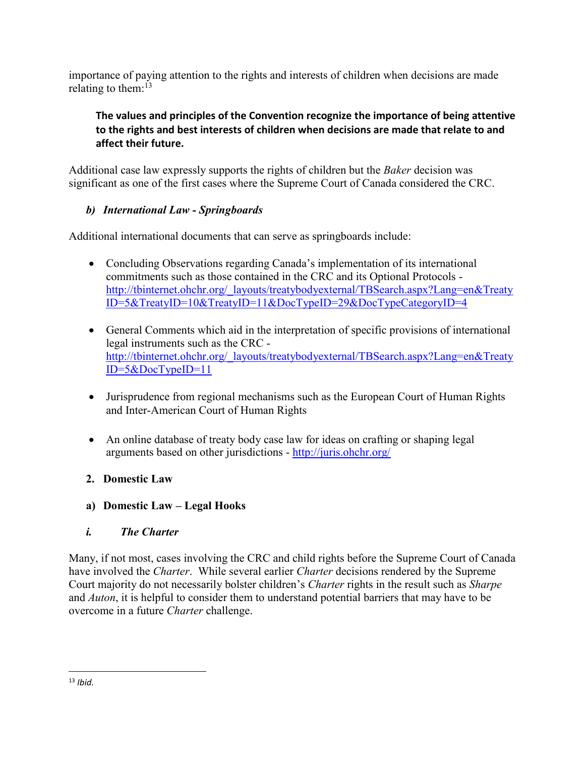importance of paying attention to the rights and interests of children when decisions are made relating to them: $13$ 

**The values and principles of the Convention recognize the importance of being attentive to the rights and best interests of children when decisions are made that relate to and affect their future.** 

Additional case law expressly supports the rights of children but the *Baker* decision was significant as one of the first cases where the Supreme Court of Canada considered the CRC.

## *b) International Law - Springboards*

Additional international documents that can serve as springboards include:

- Concluding Observations regarding Canada's implementation of its international commitments such as those contained in the CRC and its Optional Protocols [http://tbinternet.ohchr.org/\\_layouts/treatybodyexternal/TBSearch.aspx?Lang=en&Treaty](http://tbinternet.ohchr.org/_layouts/treatybodyexternal/TBSearch.aspx?Lang=en&TreatyID=5&TreatyID=10&TreatyID=11&DocTypeID=29&DocTypeCategoryID=4) [ID=5&TreatyID=10&TreatyID=11&DocTypeID=29&DocTypeCategoryID=4](http://tbinternet.ohchr.org/_layouts/treatybodyexternal/TBSearch.aspx?Lang=en&TreatyID=5&TreatyID=10&TreatyID=11&DocTypeID=29&DocTypeCategoryID=4)
- General Comments which aid in the interpretation of specific provisions of international legal instruments such as the CRC [http://tbinternet.ohchr.org/\\_layouts/treatybodyexternal/TBSearch.aspx?Lang=en&Treaty](http://tbinternet.ohchr.org/_layouts/treatybodyexternal/TBSearch.aspx?Lang=en&TreatyID=5&DocTypeID=11) [ID=5&DocTypeID=11](http://tbinternet.ohchr.org/_layouts/treatybodyexternal/TBSearch.aspx?Lang=en&TreatyID=5&DocTypeID=11)
- Jurisprudence from regional mechanisms such as the European Court of Human Rights and Inter-American Court of Human Rights
- An online database of treaty body case law for ideas on crafting or shaping legal arguments based on other jurisdictions -<http://juris.ohchr.org/>

## **2. Domestic Law**

**a) Domestic Law – Legal Hooks** 

## *i. The Charter*

Many, if not most, cases involving the CRC and child rights before the Supreme Court of Canada have involved the *Charter*. While several earlier *Charter* decisions rendered by the Supreme Court majority do not necessarily bolster children's *Charter* rights in the result such as *Sharpe* and *Auton*, it is helpful to consider them to understand potential barriers that may have to be overcome in a future *Charter* challenge.

 $\overline{\phantom{a}}$ <sup>13</sup> *Ibid.*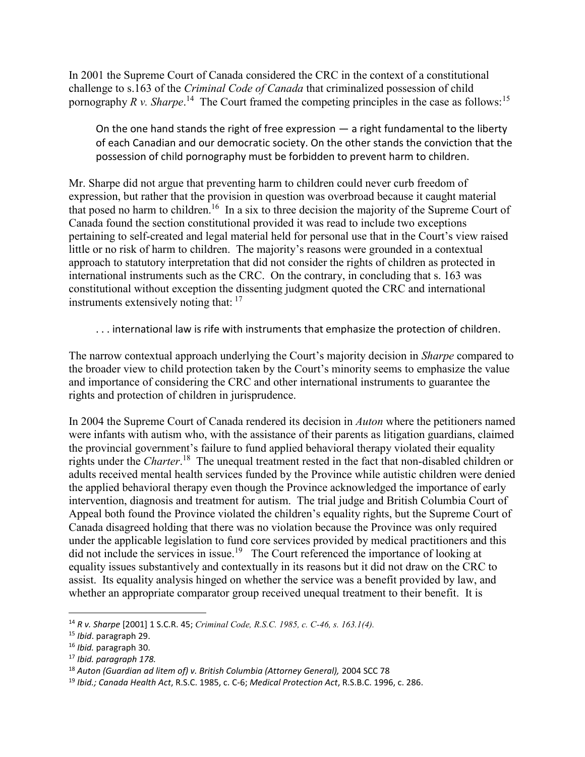In 2001 the Supreme Court of Canada considered the CRC in the context of a constitutional challenge to s.163 of the *Criminal Code of Canada* that criminalized possession of child pornography *R v. Sharpe*.<sup>14</sup> The Court framed the competing principles in the case as follows:<sup>15</sup>

On the one hand stands the right of free expression  $-$  a right fundamental to the liberty of each Canadian and our democratic society. On the other stands the conviction that the possession of child pornography must be forbidden to prevent harm to children.

Mr. Sharpe did not argue that preventing harm to children could never curb freedom of expression, but rather that the provision in question was overbroad because it caught material that posed no harm to children.<sup>16</sup> In a six to three decision the majority of the Supreme Court of Canada found the section constitutional provided it was read to include two exceptions pertaining to self-created and legal material held for personal use that in the Court's view raised little or no risk of harm to children. The majority's reasons were grounded in a contextual approach to statutory interpretation that did not consider the rights of children as protected in international instruments such as the CRC. On the contrary, in concluding that s. 163 was constitutional without exception the dissenting judgment quoted the CRC and international instruments extensively noting that: <sup>17</sup>

. . . international law is rife with instruments that emphasize the protection of children.

The narrow contextual approach underlying the Court's majority decision in *Sharpe* compared to the broader view to child protection taken by the Court's minority seems to emphasize the value and importance of considering the CRC and other international instruments to guarantee the rights and protection of children in jurisprudence.

In 2004 the Supreme Court of Canada rendered its decision in *Auton* where the petitioners named were infants with autism who, with the assistance of their parents as litigation guardians, claimed the provincial government's failure to fund applied behavioral therapy violated their equality rights under the *Charter*. <sup>18</sup> The unequal treatment rested in the fact that non-disabled children or adults received mental health services funded by the Province while autistic children were denied the applied behavioral therapy even though the Province acknowledged the importance of early intervention, diagnosis and treatment for autism. The trial judge and British Columbia Court of Appeal both found the Province violated the children's equality rights, but the Supreme Court of Canada disagreed holding that there was no violation because the Province was only required under the applicable legislation to fund core services provided by medical practitioners and this did not include the services in issue.<sup>19</sup> The Court referenced the importance of looking at equality issues substantively and contextually in its reasons but it did not draw on the CRC to assist. Its equality analysis hinged on whether the service was a benefit provided by law, and whether an appropriate comparator group received unequal treatment to their benefit. It is

 $\overline{a}$ 

<sup>14</sup> *R v. Sharpe* [2001] 1 S.C.R. 45; *Criminal Code, R.S.C. 1985, c. C-46, s. 163.1(4).*

<sup>15</sup> *Ibid*. paragraph 29.

<sup>16</sup> *Ibid.* paragraph 30.

<sup>17</sup> *Ibid. paragraph 178.* 

<sup>18</sup> *Auton (Guardian ad litem of) v. British Columbia (Attorney General),* 2004 SCC 78

<sup>19</sup> *Ibid.; Canada Health Act*, R.S.C. 1985, c. C-6; *Medical Protection Act*, R.S.B.C. 1996, c. 286.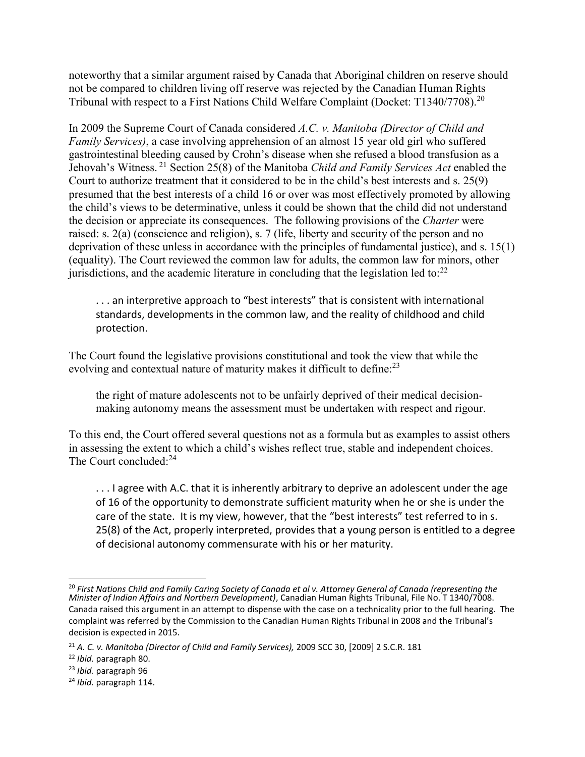noteworthy that a similar argument raised by Canada that Aboriginal children on reserve should not be compared to children living off reserve was rejected by the Canadian Human Rights Tribunal with respect to a First Nations Child Welfare Complaint (Docket: T1340/7708).<sup>20</sup>

In 2009 the Supreme Court of Canada considered *A.C. v. Manitoba (Director of Child and Family Services)*, a case involving apprehension of an almost 15 year old girl who suffered gastrointestinal bleeding caused by Crohn's disease when she refused a blood transfusion as a Jehovah's Witness. <sup>21</sup> Section 25(8) of the Manitoba *[Child and Family Services Act](http://www.canlii.org/en/mb/laws/stat/ccsm-c-c80/latest/ccsm-c-c80.html)* enabled the Court to authorize treatment that it considered to be in the child's best interests and s. 25(9) presumed that the best interests of a child 16 or over was most effectively promoted by allowing the child's views to be determinative, unless it could be shown that the child did not understand the decision or appreciate its consequences. The following provisions of the *Charter* were raised: s. 2(a) (conscience and religion), s. 7 (life, liberty and security of the person and no deprivation of these unless in accordance with the principles of fundamental justice), and s. 15(1) (equality). The Court reviewed the common law for adults, the common law for minors, other jurisdictions, and the academic literature in concluding that the legislation led to: $^{22}$ 

. . . an interpretive approach to "best interests" that is consistent with international standards, developments in the common law, and the reality of childhood and child protection.

The Court found the legislative provisions constitutional and took the view that while the evolving and contextual nature of maturity makes it difficult to define: $^{23}$ 

the right of mature adolescents not to be unfairly deprived of their medical decisionmaking autonomy means the assessment must be undertaken with respect and rigour.

To this end, the Court offered several questions not as a formula but as examples to assist others in assessing the extent to which a child's wishes reflect true, stable and independent choices. The Court concluded:<sup>24</sup>

. . . I agree with A.C. that it is inherently arbitrary to deprive an adolescent under the age of 16 of the opportunity to demonstrate sufficient maturity when he or she is under the care of the state. It is my view, however, that the "best interests" test referred to in s. 25(8) of the Act, properly interpreted, provides that a young person is entitled to a degree of decisional autonomy commensurate with his or her maturity.

<sup>&</sup>lt;sup>20</sup> First Nations Child and Family Caring Society of Canada et al v. Attorney General of Canada (representing the *Minister of Indian Affairs and Northern Development)*, Canadian Human Rights Tribunal, File No. T 1340/7008. Canada raised this argument in an attempt to dispense with the case on a technicality prior to the full hearing. The complaint was referred by the Commission to the Canadian Human Rights Tribunal in 2008 and the Tribunal's decision is expected in 2015.

<sup>21</sup> *A. C. v. Manitoba (Director of Child and Family Services),* 2009 SCC 30, [2009] 2 S.C.R. 181

<sup>22</sup> *Ibid.* paragraph 80.

<sup>23</sup> *Ibid.* paragraph 96

<sup>24</sup> *Ibid.* paragraph 114.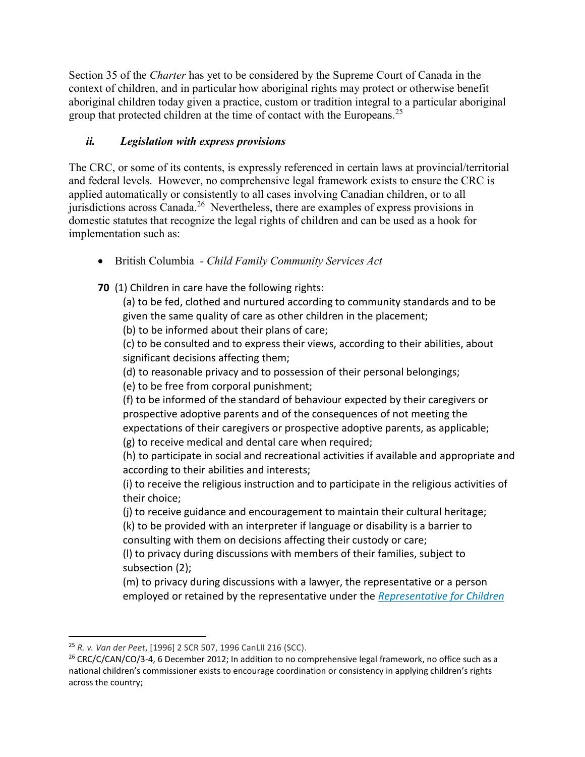Section 35 of the *Charter* has yet to be considered by the Supreme Court of Canada in the context of children, and in particular how aboriginal rights may protect or otherwise benefit aboriginal children today given a practice, custom or tradition integral to a particular aboriginal group that protected children at the time of contact with the Europeans.<sup>25</sup>

# *ii. Legislation with express provisions*

The CRC, or some of its contents, is expressly referenced in certain laws at provincial/territorial and federal levels. However, no comprehensive legal framework exists to ensure the CRC is applied automatically or consistently to all cases involving Canadian children, or to all jurisdictions across Canada.<sup>26</sup> Nevertheless, there are examples of express provisions in domestic statutes that recognize the legal rights of children and can be used as a hook for implementation such as:

British Columbia *- Child Family Community Services Act* 

**70** (1) Children in care have the following rights:

(a) to be fed, clothed and nurtured according to community standards and to be given the same quality of care as other children in the placement;

(b) to be informed about their plans of care;

(c) to be consulted and to express their views, according to their abilities, about significant decisions affecting them;

(d) to reasonable privacy and to possession of their personal belongings;

(e) to be free from corporal punishment;

(f) to be informed of the standard of behaviour expected by their caregivers or prospective adoptive parents and of the consequences of not meeting the expectations of their caregivers or prospective adoptive parents, as applicable; (g) to receive medical and dental care when required;

(h) to participate in social and recreational activities if available and appropriate and according to their abilities and interests;

(i) to receive the religious instruction and to participate in the religious activities of their choice;

(j) to receive guidance and encouragement to maintain their cultural heritage;

(k) to be provided with an interpreter if language or disability is a barrier to consulting with them on decisions affecting their custody or care;

(l) to privacy during discussions with members of their families, subject to subsection (2);

(m) to privacy during discussions with a lawyer, the representative or a person employed or retained by the representative under the *[Representative for Children](http://www.canlii.org/en/bc/laws/stat/sbc-2006-c-29/latest/sbc-2006-c-29.html)* 

 $\overline{a}$ 

<sup>25</sup> *R. v. Van der Peet*, [1996] 2 SCR 507, 1996 CanLII 216 (SCC).

<sup>&</sup>lt;sup>26</sup> CRC/C/CAN/CO/3-4, 6 December 2012; In addition to no comprehensive legal framework, no office such as a national children's commissioner exists to encourage coordination or consistency in applying children's rights across the country;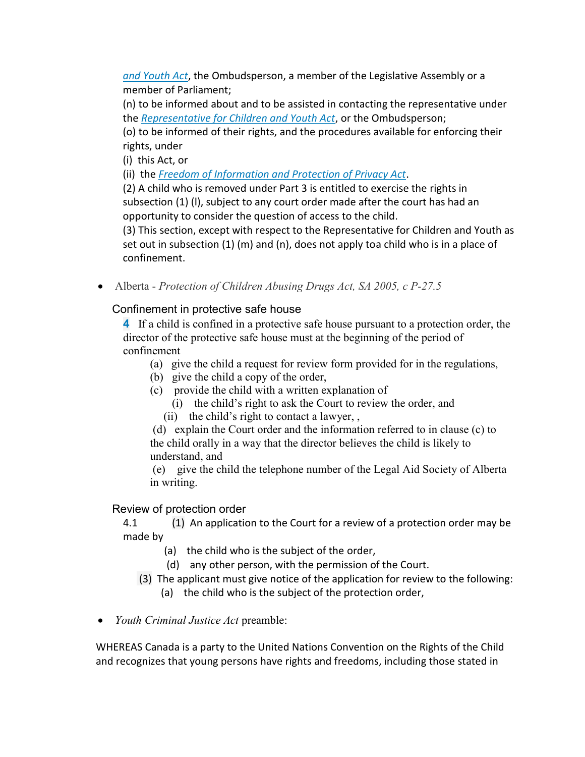*[and Youth Act](http://www.canlii.org/en/bc/laws/stat/sbc-2006-c-29/latest/sbc-2006-c-29.html)*, the Ombudsperson, a member of the Legislative Assembly or a member of Parliament;

(n) to be informed about and to be assisted in contacting the representative under the *[Representative for Children and Youth Act](http://www.canlii.org/en/bc/laws/stat/sbc-2006-c-29/latest/sbc-2006-c-29.html)*, or the Ombudsperson;

(o) to be informed of their rights, and the procedures available for enforcing their rights, under

(i) this Act, or

(ii) the *[Freedom of Information and Protection of Privacy Act](http://www.canlii.org/en/bc/laws/stat/rsbc-1996-c-165/latest/rsbc-1996-c-165.html)*.

(2) A child who is removed under Part 3 is entitled to exercise the rights in subsection (1) (l), subject to any court order made after the court has had an opportunity to consider the question of access to the child.

(3) This section, except with respect to the Representative for Children and Youth as set out in subsection  $(1)$  (m) and  $(n)$ , does not apply toa child who is in a place of confinement.

Alberta - *Protection of Children Abusing Drugs Act, SA 2005, c P-27.5*

# Confinement in protective safe house

**4** If a child is confined in a protective safe house pursuant to a protection order, the director of the protective safe house must at the beginning of the period of confinement

- (a) give the child a request for review form provided for in the regulations,
- (b) give the child a copy of the order,
- (c) provide the child with a written explanation of
	- (i) the child's right to ask the Court to review the order, and
	- (ii) the child's right to contact a lawyer, ,

(d) explain the Court order and the information referred to in clause (c) to the child orally in a way that the director believes the child is likely to understand, and

(e) give the child the telephone number of the Legal Aid Society of Alberta in writing.

## Review of protection order

4.1 (1) An application to the Court for a review of a protection order may be made by

- (a) the child who is the subject of the order,
- (d) any other person, with the permission of the Court.
- (3) The applicant must give notice of the application for review to the following:
	- (a) the child who is the subject of the protection order,
- *Youth Criminal Justice Act* preamble:

WHEREAS Canada is a party to the United Nations Convention on the Rights of the Child and recognizes that young persons have rights and freedoms, including those stated in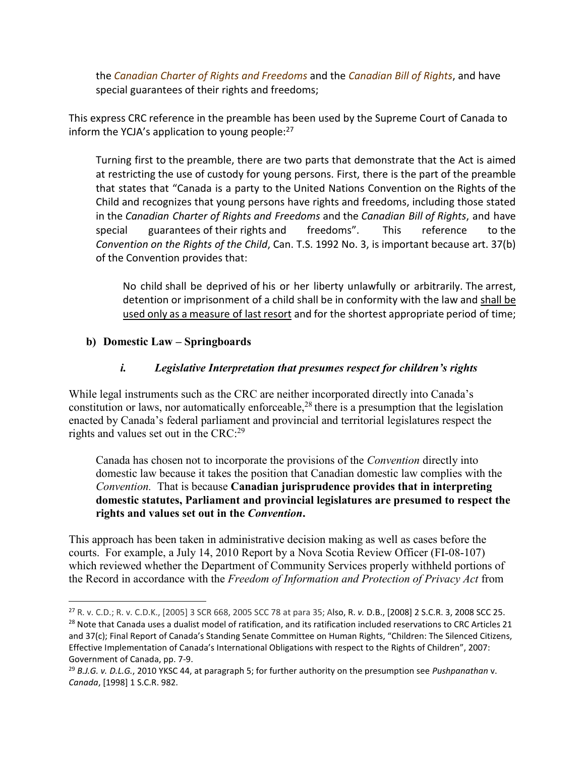the *Canadian Charter of Rights and Freedoms* and the *Canadian Bill of Rights*, and have special guarantees of their rights and freedoms;

This express CRC reference in the preamble has been used by the Supreme Court of Canada to inform the YCJA's application to young people: $27$ 

Turning first to the preamble, there are two parts that demonstrate that the Act is aimed at restricting the use of custody for young persons. First, there is the part of the preamble that states that "Canada is a party to the United Nations Convention on the Rights of the Child and recognizes that young persons have rights and freedoms, including those stated in the *[Canadian Charter of Rights and Freedoms](http://www.canlii.org/en/ca/laws/stat/schedule-b-to-the-canada-act-1982-uk-1982-c-11/latest/schedule-b-to-the-canada-act-1982-uk-1982-c-11.html)* and the *Canadian Bill of Rights*, and have special guarantees of their rights and freedoms". This reference to the *Convention on the Rights of the Child*, Can. T.S. 1992 No. 3, is important because art. 37(b) of the Convention provides that:

No child shall be deprived of his or her liberty unlawfully or arbitrarily. The arrest, detention or imprisonment of a child shall be in conformity with the law and shall be used only as a measure of last resort and for the shortest appropriate period of time;

### **b) Domestic Law – Springboards**

 $\overline{\phantom{a}}$ 

### *i. Legislative Interpretation that presumes respect for children's rights*

While legal instruments such as the CRC are neither incorporated directly into Canada's constitution or laws, nor automatically enforceable,<sup>28</sup> there is a presumption that the legislation enacted by Canada's federal parliament and provincial and territorial legislatures respect the rights and values set out in the CRC:<sup>29</sup>

Canada has chosen not to incorporate the provisions of the *Convention* directly into domestic law because it takes the position that Canadian domestic law complies with the *Convention.* That is because **Canadian jurisprudence provides that in interpreting domestic statutes, Parliament and provincial legislatures are presumed to respect the rights and values set out in the** *Convention***.**

This approach has been taken in administrative decision making as well as cases before the courts. For example, a July 14, 2010 Report by a Nova Scotia Review Officer (FI-08-107) which reviewed whether the Department of Community Services properly withheld portions of the Record in accordance with the *Freedom of Information and Protection of Privacy Act* from

<sup>27</sup> R. v. C.D.; R. v. C.D.K., [2005] 3 SCR 668, 2005 SCC 78 at para 35; Also, R. *v.* D.B., [2008] 2 S.C.R. 3, 2008 SCC 25. <sup>28</sup> Note that Canada uses a dualist model of ratification, and its ratification included reservations to CRC Articles 21 and 37(c); Final Report of Canada's Standing Senate Committee on Human Rights, "Children: The Silenced Citizens, Effective Implementation of Canada's International Obligations with respect to the Rights of Children", 2007: Government of Canada, pp. 7-9.

<sup>29</sup> *B.J.G. v. D.L.G.*, 2010 YKSC 44, at paragraph 5; for further authority on the presumption see *Pushpanathan* v. *Canada*, [1998] 1 S.C.R. 982.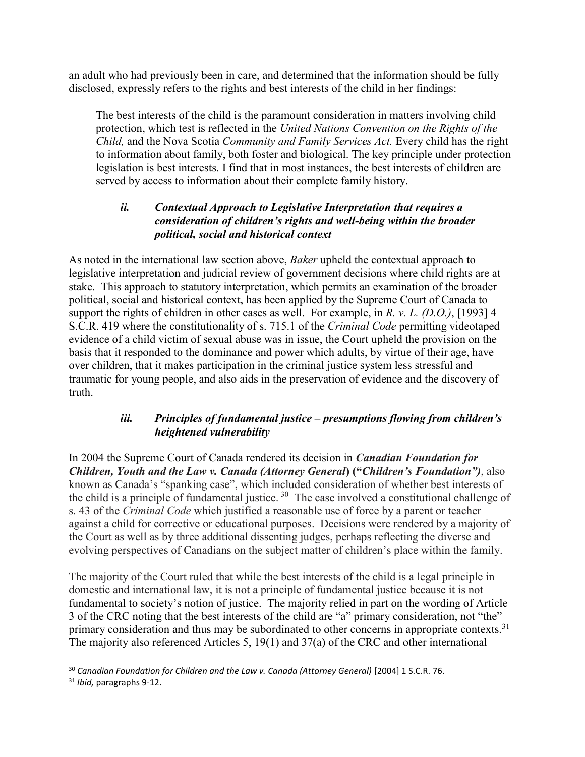an adult who had previously been in care, and determined that the information should be fully disclosed, expressly refers to the rights and best interests of the child in her findings:

The best interests of the child is the paramount consideration in matters involving child protection, which test is reflected in the *United Nations Convention on the Rights of the Child,* and the Nova Scotia *Community and Family Services Act.* Every child has the right to information about family, both foster and biological. The key principle under protection legislation is best interests. I find that in most instances, the best interests of children are served by access to information about their complete family history.

## *ii. Contextual Approach to Legislative Interpretation that requires a consideration of children's rights and well-being within the broader political, social and historical context*

As noted in the international law section above, *Baker* upheld the contextual approach to legislative interpretation and judicial review of government decisions where child rights are at stake. This approach to statutory interpretation, which permits an examination of the broader political, social and historical context, has been applied by the Supreme Court of Canada to support the rights of children in other cases as well. For example, in *R. v. L. (D.O.)*, [1993] 4 S.C.R. 419 where the constitutionality of s. 715.1 of the *Criminal Code* permitting videotaped evidence of a child victim of sexual abuse was in issue, the Court upheld the provision on the basis that it responded to the dominance and power which adults, by virtue of their age, have over children, that it makes participation in the criminal justice system less stressful and traumatic for young people, and also aids in the preservation of evidence and the discovery of truth.

## *iii. Principles of fundamental justice – presumptions flowing from children's heightened vulnerability*

In 2004 the Supreme Court of Canada rendered its decision in *Canadian Foundation for Children, Youth and the Law v. Canada (Attorney General***) ("***Children's Foundation")*, also known as Canada's "spanking case", which included consideration of whether best interests of the child is a principle of fundamental justice. <sup>30</sup> The case involved a constitutional challenge of s. 43 of the *Criminal Code* which justified a reasonable use of force by a parent or teacher against a child for corrective or educational purposes. Decisions were rendered by a majority of the Court as well as by three additional dissenting judges, perhaps reflecting the diverse and evolving perspectives of Canadians on the subject matter of children's place within the family.

The majority of the Court ruled that while the best interests of the child is a legal principle in domestic and international law, it is not a principle of fundamental justice because it is not fundamental to society's notion of justice. The majority relied in part on the wording of Article 3 of the CRC noting that the best interests of the child are "a" primary consideration, not "the" primary consideration and thus may be subordinated to other concerns in appropriate contexts.<sup>31</sup> The majority also referenced Articles 5, 19(1) and 37(a) of the CRC and other international

l <sup>30</sup> *Canadian Foundation for Children and the Law v. Canada (Attorney General)* [2004] 1 S.C.R. 76.

<sup>31</sup> *Ibid,* paragraphs 9-12.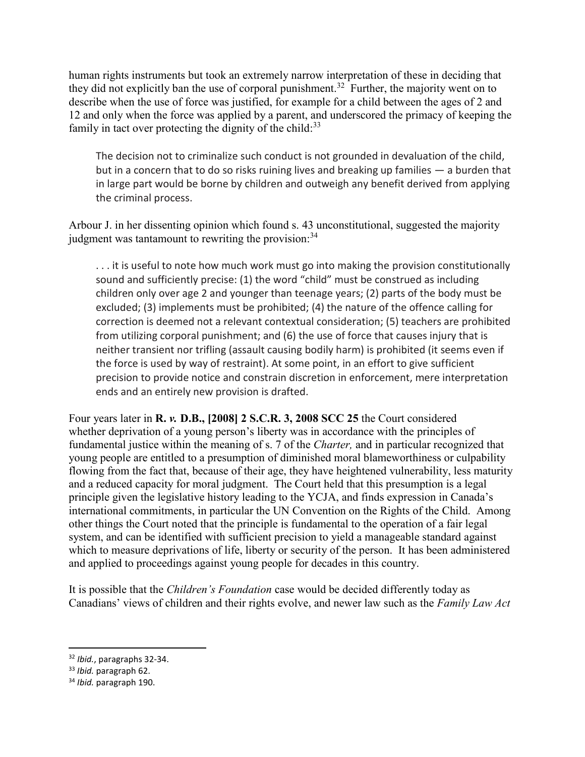human rights instruments but took an extremely narrow interpretation of these in deciding that they did not explicitly ban the use of corporal punishment.<sup>32</sup> Further, the majority went on to describe when the use of force was justified, for example for a child between the ages of 2 and 12 and only when the force was applied by a parent, and underscored the primacy of keeping the family in tact over protecting the dignity of the child:<sup>33</sup>

The decision not to criminalize such conduct is not grounded in devaluation of the child, but in a concern that to do so risks ruining lives and breaking up families — a burden that in large part would be borne by children and outweigh any benefit derived from applying the criminal process.

Arbour J. in her dissenting opinion which found s. 43 unconstitutional, suggested the majority judgment was tantamount to rewriting the provision:<sup>34</sup>

... it is useful to note how much work must go into making the provision constitutionally sound and sufficiently precise: (1) the word "child" must be construed as including children only over age 2 and younger than teenage years; (2) parts of the body must be excluded; (3) implements must be prohibited; (4) the nature of the offence calling for correction is deemed not a relevant contextual consideration; (5) teachers are prohibited from utilizing corporal punishment; and (6) the use of force that causes injury that is neither transient nor trifling (assault causing bodily harm) is prohibited (it seems even if the force is used by way of restraint). At some point, in an effort to give sufficient precision to provide notice and constrain discretion in enforcement, mere interpretation ends and an entirely new provision is drafted.

Four years later in **R.** *v.* **D.B., [2008] 2 S.C.R. 3, 2008 SCC 25** the Court considered whether deprivation of a young person's liberty was in accordance with the principles of fundamental justice within the meaning of s. 7 of the *Charter,* and in particular recognized that young people are entitled to a presumption of diminished moral blameworthiness or culpability flowing from the fact that, because of their age, they have heightened vulnerability, less maturity and a reduced capacity for moral judgment. The Court held that this presumption is a legal principle given the legislative history leading to the YCJA, and finds expression in Canada's international commitments, in particular the UN Convention on the Rights of the Child. Among other things the Court noted that the principle is fundamental to the operation of a fair legal system, and can be identified with sufficient precision to yield a manageable standard against which to measure deprivations of life, liberty or security of the person. It has been administered and applied to proceedings against young people for decades in this country.

It is possible that the *Children's Foundation* case would be decided differently today as Canadians' views of children and their rights evolve, and newer law such as the *Family Law Act* 

 $\overline{\phantom{a}}$ 

<sup>32</sup> *Ibid.*, paragraphs 32-34.

<sup>33</sup> *Ibid.* paragraph 62.

<sup>34</sup> *Ibid.* paragraph 190.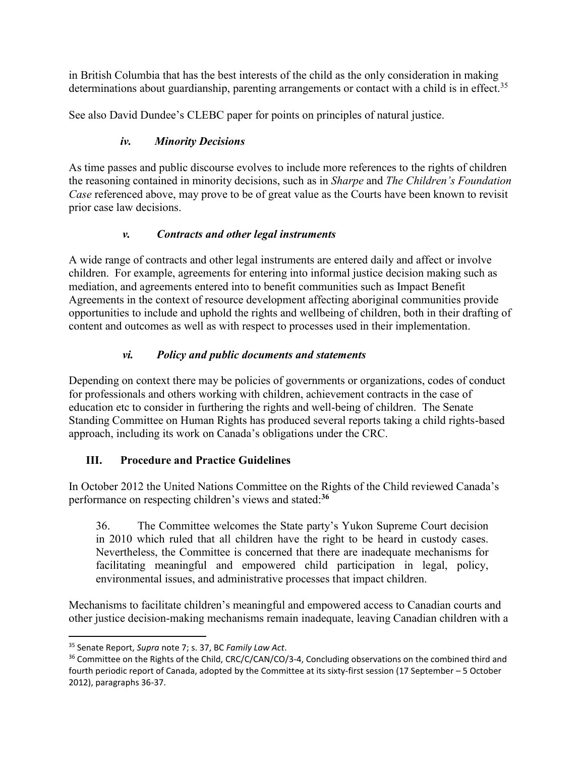in British Columbia that has the best interests of the child as the only consideration in making determinations about guardianship, parenting arrangements or contact with a child is in effect.<sup>35</sup>

See also David Dundee's CLEBC paper for points on principles of natural justice.

# *iv. Minority Decisions*

As time passes and public discourse evolves to include more references to the rights of children the reasoning contained in minority decisions, such as in *Sharpe* and *The Children's Foundation Case* referenced above, may prove to be of great value as the Courts have been known to revisit prior case law decisions.

# *v. Contracts and other legal instruments*

A wide range of contracts and other legal instruments are entered daily and affect or involve children. For example, agreements for entering into informal justice decision making such as mediation, and agreements entered into to benefit communities such as Impact Benefit Agreements in the context of resource development affecting aboriginal communities provide opportunities to include and uphold the rights and wellbeing of children, both in their drafting of content and outcomes as well as with respect to processes used in their implementation.

# *vi. Policy and public documents and statements*

Depending on context there may be policies of governments or organizations, codes of conduct for professionals and others working with children, achievement contracts in the case of education etc to consider in furthering the rights and well-being of children. The Senate Standing Committee on Human Rights has produced several reports taking a child rights-based approach, including its work on Canada's obligations under the CRC.

# **III. Procedure and Practice Guidelines**

In October 2012 the United Nations Committee on the Rights of the Child reviewed Canada's performance on respecting children's views and stated:**<sup>36</sup>**

36. The Committee welcomes the State party's Yukon Supreme Court decision in 2010 which ruled that all children have the right to be heard in custody cases. Nevertheless, the Committee is concerned that there are inadequate mechanisms for facilitating meaningful and empowered child participation in legal, policy, environmental issues, and administrative processes that impact children.

Mechanisms to facilitate children's meaningful and empowered access to Canadian courts and other justice decision-making mechanisms remain inadequate, leaving Canadian children with a

 $\overline{a}$ 

<sup>35</sup> Senate Report, *Supra* note 7; s. 37, BC *Family Law Act*.

<sup>&</sup>lt;sup>36</sup> Committee on the Rights of the Child, CRC/C/CAN/CO/3-4, Concluding observations on the combined third and fourth periodic report of Canada, adopted by the Committee at its sixty-first session (17 September – 5 October 2012), paragraphs 36-37.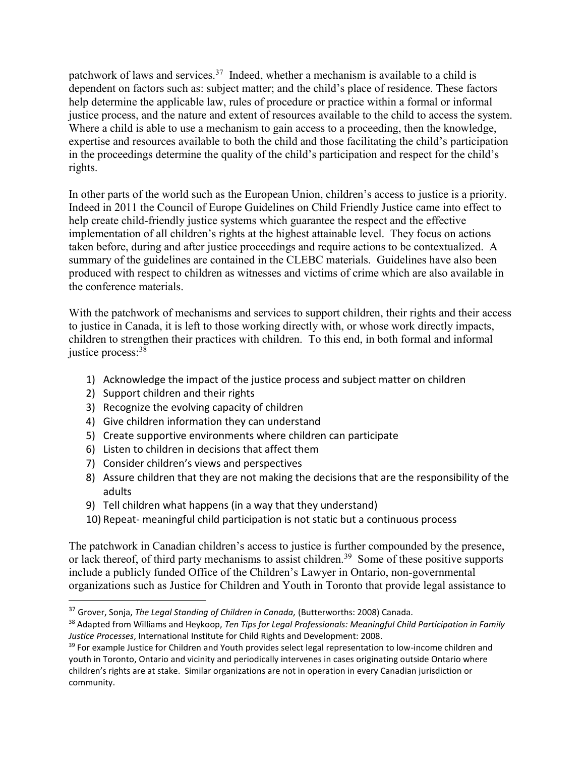patchwork of laws and services.<sup>37</sup> Indeed, whether a mechanism is available to a child is dependent on factors such as: subject matter; and the child's place of residence. These factors help determine the applicable law, rules of procedure or practice within a formal or informal justice process, and the nature and extent of resources available to the child to access the system. Where a child is able to use a mechanism to gain access to a proceeding, then the knowledge, expertise and resources available to both the child and those facilitating the child's participation in the proceedings determine the quality of the child's participation and respect for the child's rights.

In other parts of the world such as the European Union, children's access to justice is a priority. Indeed in 2011 the Council of Europe Guidelines on Child Friendly Justice came into effect to help create child-friendly justice systems which guarantee the respect and the effective implementation of all children's rights at the highest attainable level. They focus on actions taken before, during and after justice proceedings and require actions to be contextualized. A summary of the guidelines are contained in the CLEBC materials. Guidelines have also been produced with respect to children as witnesses and victims of crime which are also available in the conference materials.

With the patchwork of mechanisms and services to support children, their rights and their access to justice in Canada, it is left to those working directly with, or whose work directly impacts, children to strengthen their practices with children. To this end, in both formal and informal justice process: 38

- 1) Acknowledge the impact of the justice process and subject matter on children
- 2) Support children and their rights

l

- 3) Recognize the evolving capacity of children
- 4) Give children information they can understand
- 5) Create supportive environments where children can participate
- 6) Listen to children in decisions that affect them
- 7) Consider children's views and perspectives
- 8) Assure children that they are not making the decisions that are the responsibility of the adults
- 9) Tell children what happens (in a way that they understand)
- 10) Repeat- meaningful child participation is not static but a continuous process

The patchwork in Canadian children's access to justice is further compounded by the presence, or lack thereof, of third party mechanisms to assist children.<sup>39</sup> Some of these positive supports include a publicly funded Office of the Children's Lawyer in Ontario, non-governmental organizations such as Justice for Children and Youth in Toronto that provide legal assistance to

<sup>37</sup> Grover, Sonja, *The Legal Standing of Children in Canada,* (Butterworths: 2008) Canada.

<sup>38</sup> Adapted from Williams and Heykoop, *Ten Tips for Legal Professionals: Meaningful Child Participation in Family Justice Processes*, International Institute for Child Rights and Development: 2008.

<sup>&</sup>lt;sup>39</sup> For example Justice for Children and Youth provides select legal representation to low-income children and youth in Toronto, Ontario and vicinity and periodically intervenes in cases originating outside Ontario where children's rights are at stake. Similar organizations are not in operation in every Canadian jurisdiction or community.